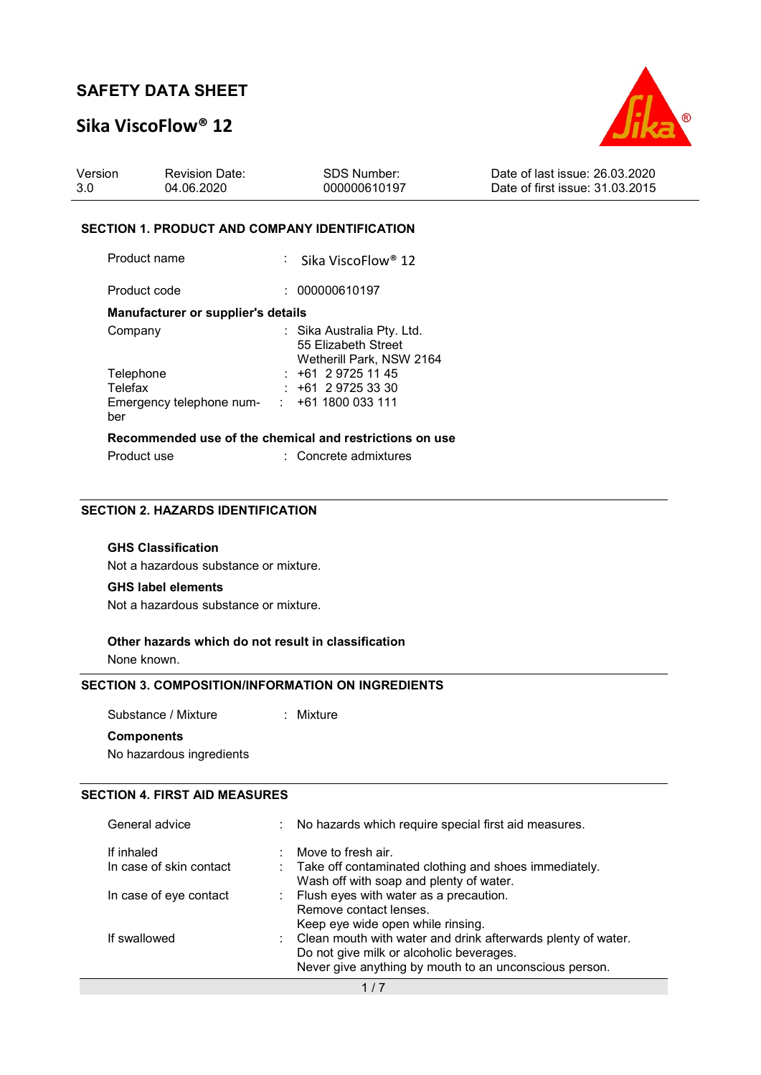## Sika ViscoFlow® 12



### SECTION 1. PRODUCT AND COMPANY IDENTIFICATION

Product name : Sika ViscoFlow® 12 Product code : 000000610197 Manufacturer or supplier's details Company : Sika Australia Pty. Ltd. 55 Elizabeth Street Wetherill Park, NSW 2164 Telephone : +61 2 9725 11 45

| Recommended use of the chemical and restrictions on use |  |                         |  |
|---------------------------------------------------------|--|-------------------------|--|
| ber                                                     |  |                         |  |
| Emergency telephone num-                                |  | $\div$ +61 1800 033 111 |  |
| Telefax                                                 |  | $: +61297253330$        |  |

| Product use | : Concrete admixtures |
|-------------|-----------------------|
|             |                       |

## SECTION 2. HAZARDS IDENTIFICATION

#### GHS Classification

Not a hazardous substance or mixture.

#### GHS label elements

Not a hazardous substance or mixture.

# Other hazards which do not result in classification

None known.

### SECTION 3. COMPOSITION/INFORMATION ON INGREDIENTS

Substance / Mixture : Mixture

## **Components**

No hazardous ingredients

## SECTION 4. FIRST AID MEASURES

| General advice                        | : No hazards which require special first aid measures.                                                                                                               |
|---------------------------------------|----------------------------------------------------------------------------------------------------------------------------------------------------------------------|
| If inhaled<br>In case of skin contact | Move to fresh air.<br>: Take off contaminated clothing and shoes immediately.<br>Wash off with soap and plenty of water.                                             |
| In case of eye contact                | : Flush eyes with water as a precaution.<br>Remove contact lenses.<br>Keep eye wide open while rinsing.                                                              |
| If swallowed                          | : Clean mouth with water and drink afterwards plenty of water.<br>Do not give milk or alcoholic beverages.<br>Never give anything by mouth to an unconscious person. |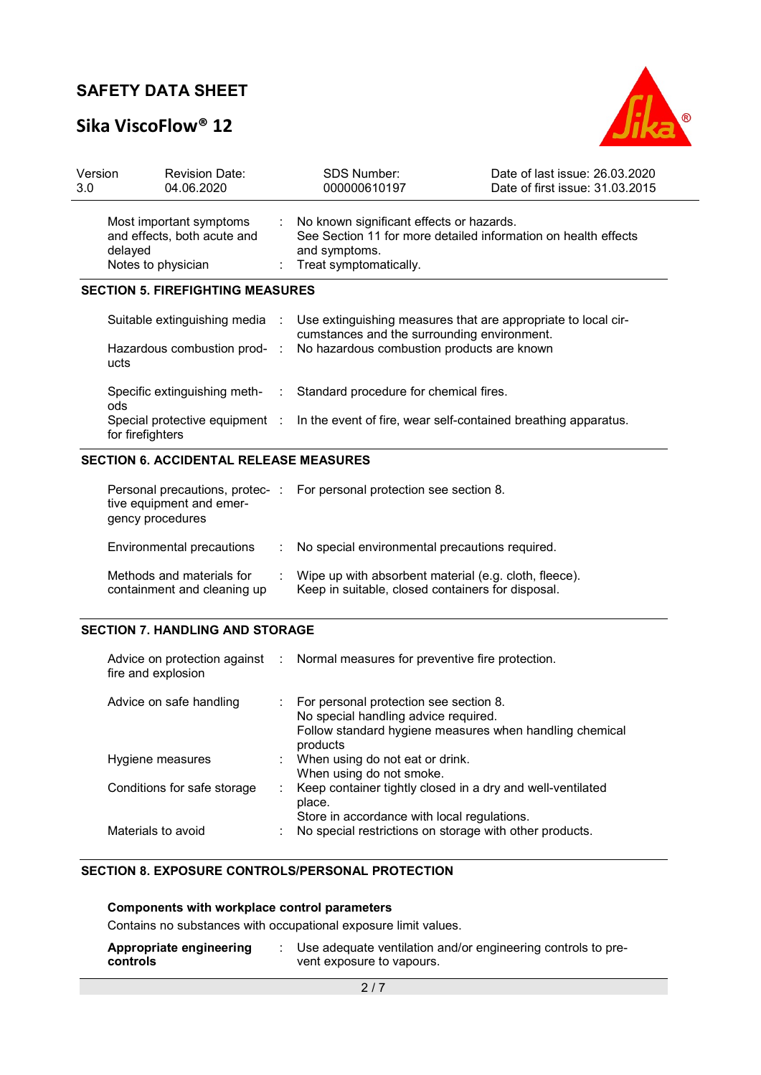## Sika ViscoFlow® 12



| 3.0 <sub>2</sub> | Version<br><b>Revision Date:</b><br>04.06.2020                                          |        | <b>SDS Number:</b><br>000000610197                                                      | Date of last issue: 26.03.2020<br>Date of first issue: 31.03.2015 |
|------------------|-----------------------------------------------------------------------------------------|--------|-----------------------------------------------------------------------------------------|-------------------------------------------------------------------|
|                  | Most important symptoms<br>and effects, both acute and<br>delayed<br>Notes to physician |        | : No known significant effects or hazards.<br>and symptoms.<br>: Treat symptomatically. | See Section 11 for more detailed information on health effects    |
|                  | <b>SECTION 5. FIREFIGHTING MEASURES</b>                                                 |        |                                                                                         |                                                                   |
|                  |                                                                                         |        |                                                                                         |                                                                   |
|                  | Suitable extinguishing media :                                                          |        | cumstances and the surrounding environment.                                             | Use extinguishing measures that are appropriate to local cir-     |
|                  | Hazardous combustion prod- :<br>ucts                                                    |        | No hazardous combustion products are known                                              |                                                                   |
|                  | Specific extinguishing meth-<br>ods.                                                    | $\sim$ | Standard procedure for chemical fires.                                                  |                                                                   |

### SECTION 6. ACCIDENTAL RELEASE MEASURES

| tive equipment and emer-<br>gency procedures             | Personal precautions, protec-: For personal protection see section 8.                                      |
|----------------------------------------------------------|------------------------------------------------------------------------------------------------------------|
| Environmental precautions                                | : No special environmental precautions required.                                                           |
| Methods and materials for<br>containment and cleaning up | Wipe up with absorbent material (e.g. cloth, fleece).<br>Keep in suitable, closed containers for disposal. |

## SECTION 7. HANDLING AND STORAGE

| fire and explosion          |    | Advice on protection against : Normal measures for preventive fire protection.                                                                          |
|-----------------------------|----|---------------------------------------------------------------------------------------------------------------------------------------------------------|
| Advice on safe handling     |    | : For personal protection see section 8.<br>No special handling advice required.<br>Follow standard hygiene measures when handling chemical<br>products |
| Hygiene measures            |    | : When using do not eat or drink.<br>When using do not smoke.                                                                                           |
| Conditions for safe storage | ÷. | Keep container tightly closed in a dry and well-ventilated<br>place.<br>Store in accordance with local regulations.                                     |
| Materials to avoid          |    | No special restrictions on storage with other products.                                                                                                 |

### SECTION 8. EXPOSURE CONTROLS/PERSONAL PROTECTION

### Components with workplace control parameters

Contains no substances with occupational exposure limit values.

| Appropriate engineering | Use adequate ventilation and/or engineering controls to pre- |
|-------------------------|--------------------------------------------------------------|
| controls                | vent exposure to vapours.                                    |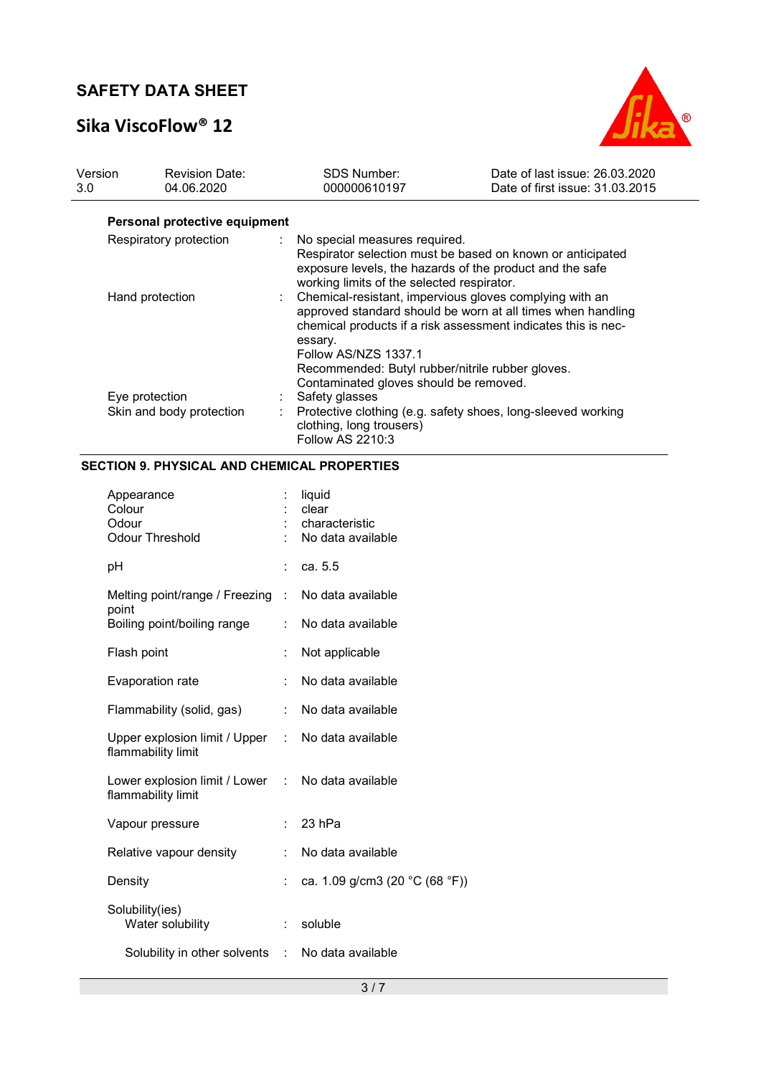# Sika ViscoFlow® 12



| Version<br>3.0 | <b>Revision Date:</b><br>04.06.2020 | <b>SDS Number:</b><br>000000610197                                            | Date of last issue: 26.03.2020<br>Date of first issue: 31.03.2015                                                                                                                                                                             |
|----------------|-------------------------------------|-------------------------------------------------------------------------------|-----------------------------------------------------------------------------------------------------------------------------------------------------------------------------------------------------------------------------------------------|
|                | Personal protective equipment       |                                                                               |                                                                                                                                                                                                                                               |
|                | Respiratory protection              | : No special measures required.<br>working limits of the selected respirator. | Respirator selection must be based on known or anticipated<br>exposure levels, the hazards of the product and the safe                                                                                                                        |
|                | Hand protection                     | essary.<br>Follow AS/NZS 1337.1                                               | : Chemical-resistant, impervious gloves complying with an<br>approved standard should be worn at all times when handling<br>chemical products if a risk assessment indicates this is nec-<br>Recommended: Butyl rubber/nitrile rubber gloves. |
|                | Eye protection                      | Contaminated gloves should be removed.<br>Safety glasses                      |                                                                                                                                                                                                                                               |
|                | Skin and body protection            | clothing, long trousers)<br><b>Follow AS 2210:3</b>                           | Protective clothing (e.g. safety shoes, long-sleeved working                                                                                                                                                                                  |

## SECTION 9. PHYSICAL AND CHEMICAL PROPERTIES

| Appearance<br>Colour<br>Odour<br><b>Odour Threshold</b>                 |                           | liquid<br>clear<br>characteristic<br>No data available |
|-------------------------------------------------------------------------|---------------------------|--------------------------------------------------------|
| рH                                                                      |                           | ca. 5.5                                                |
| Melting point/range / Freezing : No data available<br>point             |                           |                                                        |
| Boiling point/boiling range                                             | $\mathbb{R}^{\mathbb{Z}}$ | No data available                                      |
| Flash point                                                             |                           | Not applicable                                         |
| Evaporation rate                                                        | ÷                         | No data available                                      |
| Flammability (solid, gas)                                               |                           | : No data available                                    |
| Upper explosion limit / Upper : No data available<br>flammability limit |                           |                                                        |
| Lower explosion limit / Lower : No data available<br>flammability limit |                           |                                                        |
| Vapour pressure                                                         |                           | 23 hPa                                                 |
| Relative vapour density                                                 |                           | No data available                                      |
| Density                                                                 | ÷                         | ca. 1.09 g/cm3 (20 °C (68 °F))                         |
| Solubility(ies)<br>Water solubility                                     |                           | soluble                                                |
| Solubility in other solvents : No data available                        |                           |                                                        |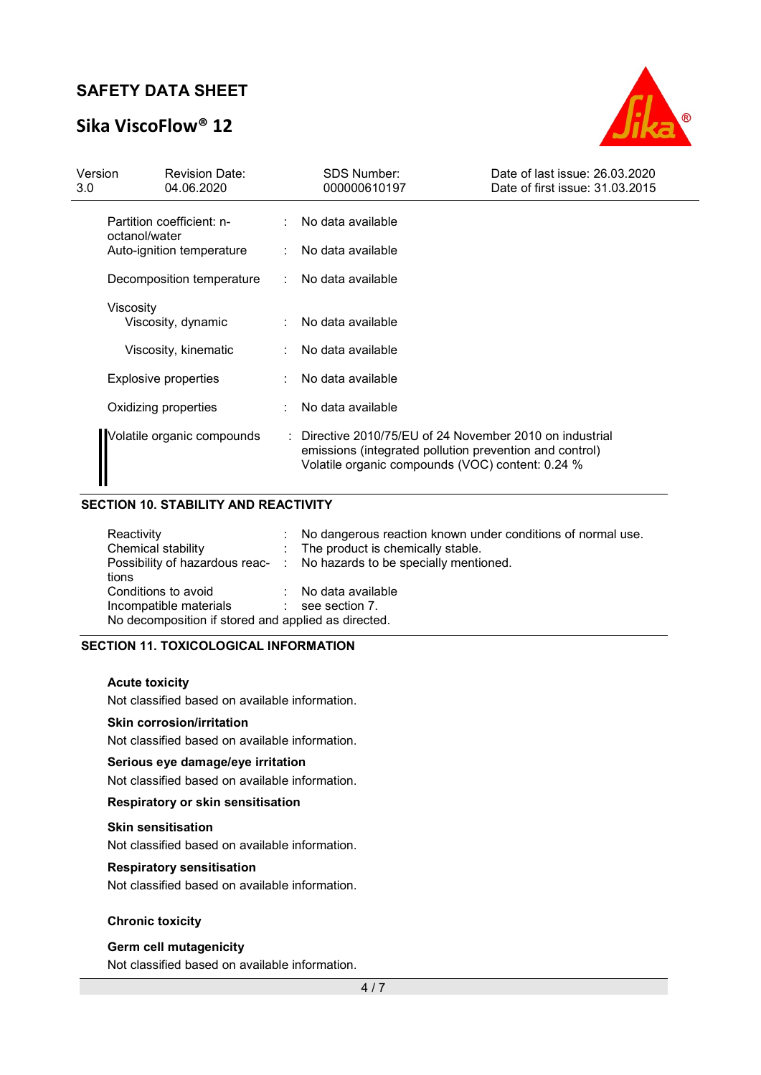## Sika ViscoFlow® 12



| Version<br>3.0 | <b>Revision Date:</b><br>04.06.2020        | <b>SDS Number:</b><br>000000610197                                                                                                                                      | Date of last issue: 26.03.2020<br>Date of first issue: 31.03.2015 |
|----------------|--------------------------------------------|-------------------------------------------------------------------------------------------------------------------------------------------------------------------------|-------------------------------------------------------------------|
|                | Partition coefficient: n-<br>octanol/water | No data available                                                                                                                                                       |                                                                   |
|                | Auto-ignition temperature                  | No data available                                                                                                                                                       |                                                                   |
|                | Decomposition temperature                  | No data available                                                                                                                                                       |                                                                   |
|                | Viscosity<br>Viscosity, dynamic            | No data available                                                                                                                                                       |                                                                   |
|                | Viscosity, kinematic                       | No data available                                                                                                                                                       |                                                                   |
|                | Explosive properties                       | No data available                                                                                                                                                       |                                                                   |
|                | Oxidizing properties                       | No data available                                                                                                                                                       |                                                                   |
|                | Volatile organic compounds                 | : Directive 2010/75/EU of 24 November 2010 on industrial<br>emissions (integrated pollution prevention and control)<br>Volatile organic compounds (VOC) content: 0.24 % |                                                                   |

## SECTION 10. STABILITY AND REACTIVITY

| Reactivity<br>Chemical stability<br>tions                                                                                        | No dangerous reaction known under conditions of normal use.<br>: The product is chemically stable.<br>Possibility of hazardous reac- : No hazards to be specially mentioned. |
|----------------------------------------------------------------------------------------------------------------------------------|------------------------------------------------------------------------------------------------------------------------------------------------------------------------------|
| Conditions to avoid<br>Incompatible materials<br><b>Contract Contract</b><br>No decomposition if stored and applied as directed. | No data available<br>see section 7.                                                                                                                                          |

### SECTION 11. TOXICOLOGICAL INFORMATION

#### Acute toxicity

Not classified based on available information.

#### Skin corrosion/irritation

Not classified based on available information.

#### Serious eye damage/eye irritation

Not classified based on available information.

## Respiratory or skin sensitisation

#### Skin sensitisation

Not classified based on available information.

#### Respiratory sensitisation

Not classified based on available information.

### Chronic toxicity

### Germ cell mutagenicity

Not classified based on available information.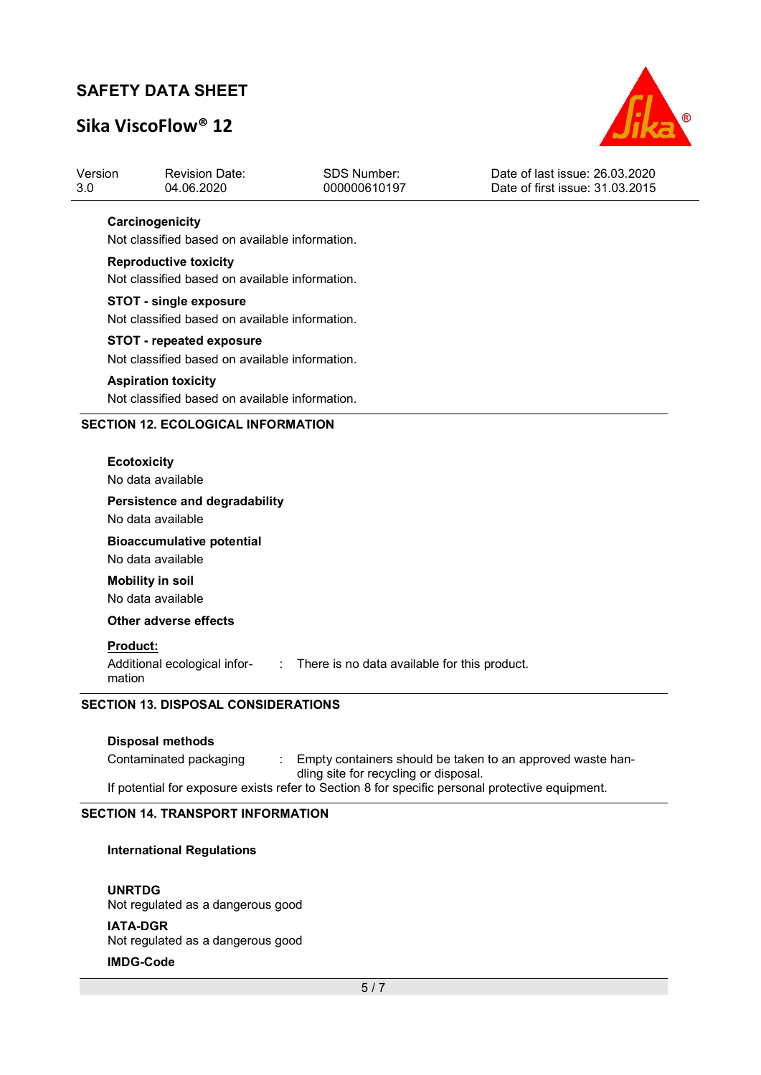## Sika ViscoFlow® 12



| Version | <b>Revision Date:</b> | SDS Number:  | Date of last issue: 26.03.2020  |
|---------|-----------------------|--------------|---------------------------------|
| 3.0     | 04.06.2020            | 000000610197 | Date of first issue: 31.03.2015 |
|         |                       |              |                                 |

### **Carcinogenicity**

Not classified based on available information.

### Reproductive toxicity

Not classified based on available information.

#### STOT - single exposure

Not classified based on available information.

### STOT - repeated exposure

Not classified based on available information.

#### Aspiration toxicity

Not classified based on available information.

#### SECTION 12. ECOLOGICAL INFORMATION

#### **Ecotoxicity**

No data available

#### Persistence and degradability

No data available

## Bioaccumulative potential

No data available

## Mobility in soil

No data available

### Other adverse effects

#### Product:

Additional ecological infor- : There is no data available for this product.

mation

## SECTION 13. DISPOSAL CONSIDERATIONS

#### Disposal methods

Contaminated packaging : Empty containers should be taken to an approved waste handling site for recycling or disposal. If potential for exposure exists refer to Section 8 for specific personal protective equipment.

#### SECTION 14. TRANSPORT INFORMATION

#### International Regulations

UNRTDG Not regulated as a dangerous good IATA-DGR Not regulated as a dangerous good

### IMDG-Code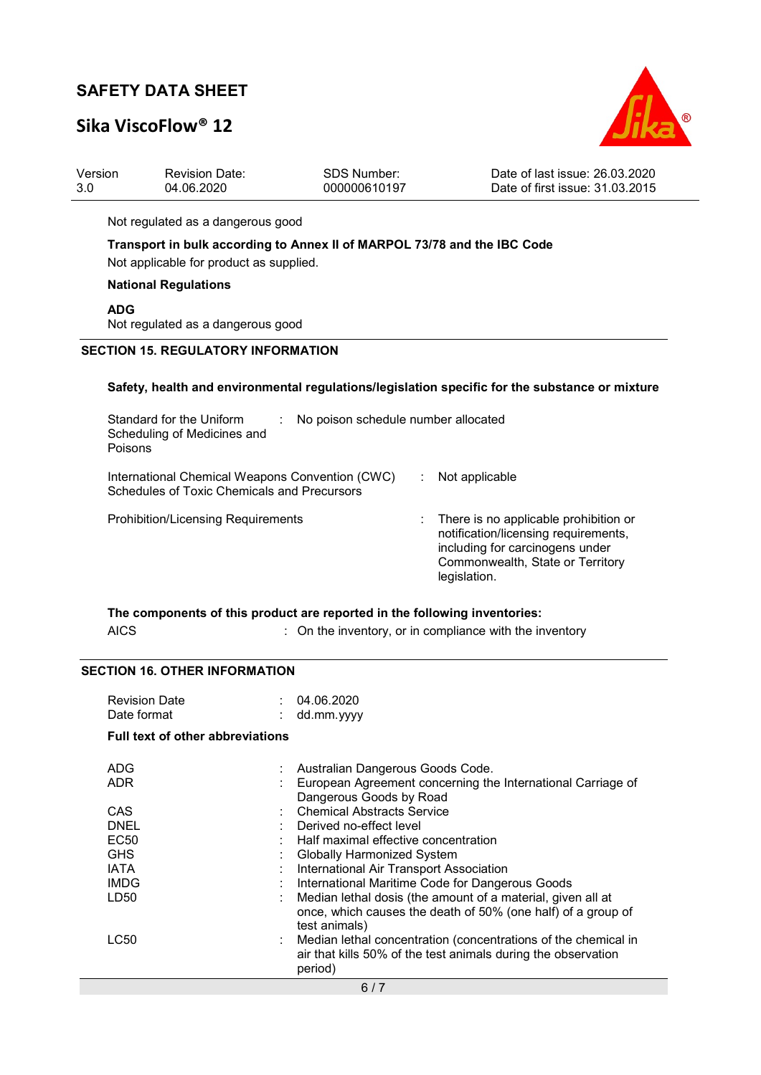# Sika ViscoFlow® 12



| Version<br>3.0 | <b>Revision Date:</b><br>04.06.2020                                                                                 | <b>SDS Number:</b><br>000000610197  | Date of last issue: 26.03.2020<br>Date of first issue: 31.03.2015                                                                                                    |
|----------------|---------------------------------------------------------------------------------------------------------------------|-------------------------------------|----------------------------------------------------------------------------------------------------------------------------------------------------------------------|
|                | Not regulated as a dangerous good                                                                                   |                                     |                                                                                                                                                                      |
|                | Transport in bulk according to Annex II of MARPOL 73/78 and the IBC Code<br>Not applicable for product as supplied. |                                     |                                                                                                                                                                      |
|                | <b>National Regulations</b>                                                                                         |                                     |                                                                                                                                                                      |
| <b>ADG</b>     | Not regulated as a dangerous good                                                                                   |                                     |                                                                                                                                                                      |
|                | <b>SECTION 15. REGULATORY INFORMATION</b>                                                                           |                                     |                                                                                                                                                                      |
|                |                                                                                                                     |                                     |                                                                                                                                                                      |
|                |                                                                                                                     |                                     |                                                                                                                                                                      |
| Poisons        | Standard for the Uniform<br>Scheduling of Medicines and                                                             | No poison schedule number allocated |                                                                                                                                                                      |
|                | International Chemical Weapons Convention (CWC)<br>Schedules of Toxic Chemicals and Precursors                      |                                     | Not applicable                                                                                                                                                       |
|                | <b>Prohibition/Licensing Requirements</b>                                                                           |                                     | There is no applicable prohibition or<br>notification/licensing requirements,<br>including for carcinogens under<br>Commonwealth, State or Territory<br>legislation. |
|                | The components of this product are reported in the following inventories:                                           |                                     | Safety, health and environmental regulations/legislation specific for the substance or mixture                                                                       |

## SECTION 16. OTHER INFORMATION

| <b>Revision Date</b> | 04.06.2020   |  |
|----------------------|--------------|--|
| Date format          | : dd.mm.yyyy |  |

## Full text of other abbreviations

| Australian Dangerous Goods Code.                               |
|----------------------------------------------------------------|
| European Agreement concerning the International Carriage of    |
| Dangerous Goods by Road                                        |
| <b>Chemical Abstracts Service</b>                              |
| Derived no-effect level                                        |
| : Half maximal effective concentration                         |
| <b>Globally Harmonized System</b>                              |
| International Air Transport Association                        |
| International Maritime Code for Dangerous Goods                |
| Median lethal dosis (the amount of a material, given all at    |
| once, which causes the death of 50% (one half) of a group of   |
| test animals)                                                  |
| Median lethal concentration (concentrations of the chemical in |
| air that kills 50% of the test animals during the observation  |
| period)                                                        |
| 6/7                                                            |
|                                                                |